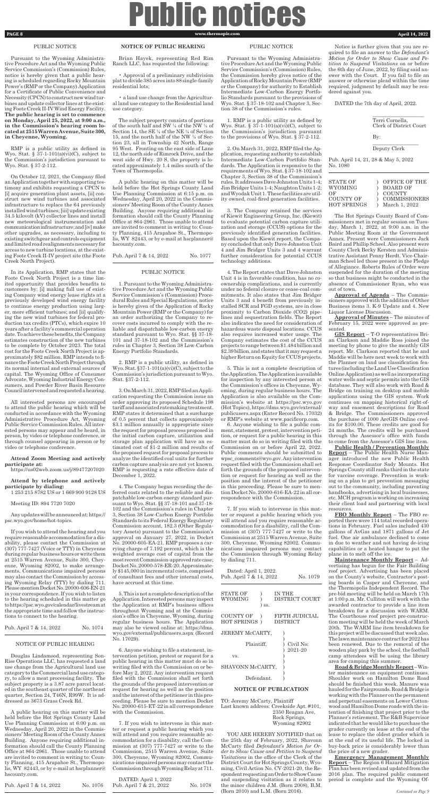## Public notices **PAGE 8 www.thermopir.com www.thermopir.com April 14, 2022**

## PUBLIC NOTICE

Pursuant to the Wyoming Administrative Procedure Act and the Wyoming Public Service Commission's (Commission) Rules, notice is hereby given that a public hearing is scheduled regarding Rocky Mountain Power's (RMP or the Company) Application for a Certificate of Public Convenience and Necessity (CPCN) to construct new wind turbines and update collector lines at the existing Foote Creek II-IV Wind Energy Facility. **The public hearing is set to commence on Monday, April 25, 2022, at 9:00 a.m., in the Commission's hearing room located at 2515 Warren Avenue, Suite 300, in Cheyenne, Wyoming.**

RMP is a public utility as defined in Wyo. Stat. § 37-1-101(a)(vi)(C), subject to the Commission's jurisdiction pursuant to Wyo. Stat. § 37-2-112.

On October 12, 2021, the Company filed an Application together with supporting testimony and exhibits requesting a CPCN to [i] acquire generation plant assets, [ii] construct new wind turbines and associated infrastructure to replace the 64 previously installed wind turbines; [iii] update existing 34.5 kilovolt (kV) collector lines and install new meteorological instrumentation and communication infrastructure; and [iv] make other upgrades, as necessary, including to existing switchgear and controls equipment and limited road realignments necessary for access to new turbine locations, at the existing Foote Creek II-IV project site (the Foote Creek North Project).

In its Application, RMP states that the Foote Creek North Project is a time limited opportunity that provides benefits to customers by: [i] making full use of existing Company wind energy lease rights at a previously developed wind energy facility to continue energy production using larger, more efficient turbines; and [ii] qualifying the new wind turbines for federal production tax credits (PTCs), which expire 10 years after a facility's commercial operation date. To achieve these benefits, the Company estimates construction of the new turbines to be complete by October 2023. The total cost for the Foote Creek North Project is approximately \$82 million. RMP intends to finance the Foote Creek North Project through its normal internal and external sources of capital. The Wyoming Office of Consumer Advocate, Wyoming Industrial Energy Consumers, and Powder River Basin Resource Council intervened and requested a hearing.

All interested persons are encouraged to attend the public hearing which will be conducted in accordance with the Wyoming Administrative Procedure Act, Wyoming Public Service Commission Rules. All interested persons may appear and be heard, in person, by video or telephone conference, or through counsel appearing in person or by video or telephone conference.

### **Attend Zoom Meeting and actively**

## **participate at:**

https://us02web.zoom.us/j/89477207020

## **Attend by telephone and actively participate by dialing:**

1 253 215 8782 US or 1 669 900 9128 US

Meeting ID: 894 7720 7020

Any updates will be announced at: https:// psc.wyo.gov/home/hot-topics.

If you wish to attend the hearing and you require reasonable accommodation for a disability, please contact the Commission at (307) 777-7427 (Voice or TTY) in Cheyenne during regular business hours or write them at 2515 Warren Avenue, Suite 300, Cheyenne, Wyoming 82002, to make arrangements. Communications impaired persons may also contact the Commission by accessing Wyoming Relay (TTY) by dialing 711. Please mention Docket No. 20000-606-EN-21 in your correspondence. If you wish to listen to the hearing scheduled in this matter go to https://psc.wyo.gov/calendar/livestream at the appropriate time and follow the instructions to connect to the hearing.

Pub. April 7 & 14, 2022 No. 1074

## NOTICE OF PUBLIC HEARING

Douglas Lindamood, representing Son-Rise Operations LLC, has requested a land use change from the Agricultural land use category to the Commercial land use category, to allow a meat processing facility. The subject property is a 3.87 acre parcel located in the southeast quarter of the northeast quarter, Section 24, T46N, R99W. It is addressed as 3673 Grass Creek Rd.

A public hearing on this matter will be held before the Hot Springs County Land Use Planning Commission at 6:00 p.m. on Wednesday, April 20, 2022 in the Commissioners' Meeting Room of the County Annex Building. Anyone requiring additional information should call the County Planning Office at 864-2961. Those unable to attend are invited to comment in writing to: County Planning, 415 Arapahoe St., Thermopolis, WY 82443, or by e-mail at hscplanner@ hscounty.com.

DATED: April 1, 2022 Pub. April 7 & 21, 2022 No. 1078

Pub. April 7 & 14, 2022 No. 1076

## **NOTICE OF PUBLIC HEARING**

Brian Hayek, representing Red Rim Ranch LLC, has requested the following:

• Approval of a preliminary subdivision plat to divide 385 acres into 88 single-family residential lots;

• a land use change from the Agricultural land use category to the Residential land use category.

The subject property consists of portions of the south half and SW ¼ of the NW ¼ of Section 14, the SE ¼ of the NE ¼ of Section 15, and the north half of the NW ¼ of Section 23, all in Township 42 North, Range 95 West. Fronting on the east side of Lane 12, the north side of Rimrock Drive, and the west side of Hwy. 20 S, the property is located approximately 1.4 miles south of the Town of Thermopolis.

A public hearing on this matter will be held before the Hot Springs County Land Use Planning Commission at 6:15 p.m. on Wednesday, April 20, 2022 in the Commissioners' Meeting Room of the County Annex Building. Anyone requiring additional information should call the County Planning Office at 864-2961. Those unable to attend are invited to comment in writing to: County Planning, 415 Arapahoe St., Thermopolis, WY 82443, or by e-mail at hscplanner@ hscounty.com.

| Pub. April 7 & 14, 2022 | No. 1077 |
|-------------------------|----------|
|-------------------------|----------|

## PUBLIC NOTICE

1. Pursuant to the Wyoming Administrative Procedure Act and the Wyoming Public Service Commission's (Commission) Procedural Rules and Special Regulations, notice is hereby given of the Application of Rocky Mountain Power (RMP or the Company) for an order authorizing the Company to recover costs incurred to comply with the reliable and dispatchable low-carbon energy standard pursuant to Wyo. Stat. §§ 37-18- 101 and 37-18-102 and the Commission's rules in Chapter 3, Section 38 Low-Carbon Energy Portfolio Standards.

2. RMP is a public utility, as defined in Wyo. Stat.  $§37-1-101(a)(vi)(C)$ , subject to the Commission's jurisdiction pursuant to Wyo. Stat. §37-2-112.

3. On March 31, 2022, RMP filed an Application requesting the Commission issue an order approving its proposed Schedule 198 tariff and associated ratemaking treatment. RMP states it determined that a surcharge of 0.5 percent that collects approximately \$3.1 million annually is appropriate since the request for proposal process proposed in the initial carbon capture, utilization and storage plan application will have an estimated cost of \$1-2 million and results of the proposed request for proposal process to analyze the identified coal units for further carbon capture analysis are not yet known. RMP is requesting a rate effective date of December 1, 2022.

4. The Company began recording the deferred costs related to the reliable and dispatchable low-carbon energy standard pursuant to Wyo. Stat. §§ 37-18-101 and 37-18- 102 and the Commission's rules in Chapter 3, Section 38 Low-Carbon Energy Portfolio Standards to its Federal Energy Regulatory Commission account, 182.3 (Other Regulatory Assets) pursuant to the Commission's approval on January 27, 2022, in Docket No. 20000-605-EA-21. RMP proposes a carrying charge of 7.192 percent, which is the weighted average cost of capital from the most recent Commission-approved rate case; Docket No. 20000-578-ER-20. Approximately \$145,000 in incremental costs, comprised of consultant fees and other internal costs, have accrued at this time.

5. This is not a complete description of the Application. Interested persons may inspect the Application at RMP's business offices throughout Wyoming and at the Commission's office in Cheyenne, Wyoming, during regular business hours. The Application may also be viewed online at: https://dms. wyo.gov/external/publicusers.aspx (Record No. 17029).

6. Anyone wishing to file a statement, intervention petition, protest or request for a public hearing in this matter must do so in writing filed with the Commission on or before May 2, 2022. Any intervention request filed with the Commission shall set forth the grounds of the proposed intervention or request for hearing as well as the position and the interest of the petitioner in this proceeding. Please be sure to mention Docket No. 20000-615-ET-22 in all correspondence with the Commission.

7. If you wish to intervene in this matter or request a public hearing which you will attend and you require reasonable accommodation for a disability, call the Commission at (307) 777-7427 or write to the Commission, 2515 Warren Avenue, Suite 300, Cheyenne, Wyoming 82002. Communications-impaired persons may contact the Commission through Wyoming Relay at 711.

## PUBLIC NOTICE

Pursuant to the Wyoming Administrative Procedure Act and the Wyoming Public Service Commission's (Commission) Rules, the Commission hereby gives notice of the Application of Rocky Mountain Power (RMP or the Company) for authority to Establish Intermediate Low-Carbon Energy Portfolio Standards pursuant to the provisions of Wyo. Stat. § 37-18-102 and Chapter 3, Section 38 of the Commission's rules.

1. RMP is a public utility as defined by Wyo. Stat.  $\S 37-1-101(a)(vi)(C)$ , subject to the Commission's jurisdiction pursuant to the provisions of Wyo. Stat. § 37-2-112.

2. On March 31, 2022, RMP filed the Application, requesting authority to establish Intermediate Low-Carbon Portfolio Standards. The Application is responsive to the requirements of Wyo. Stat. § 37-18-102 and Chapter 3, Section 38 of the Commission's rules. It addresses Dave Johnston Units 1-4; Jim Bridger Units 1-4; Naughton Units 1-2; and Wyodak Unit 1. These facilities are utility owned, coal-fired generation facilities.

3. The Company retained the services of Kiewit Engineering Group, Inc. (Kiewit) to evaluate potential carbon capture utilization and storage (CCUS) options for the previously identified generation facilities. Based upon the Kiewit report, the Company concluded that only Dave Johnston Unit 4 and Jim Bridger Units 3 and 4 warrant further consideration for potential CCUS technology additions.

4. The Report states that Dave Johnston Unit 4 is in favorable condition, has no coownership complications, and is currently under no federal closure or cease-coal commitments. It also states that Jim Bridger Units 3 and 4 benefit from previously installed SCR and FGD systems, are in close proximity to Carbon Dioxide (CO2) pipelines and sequestration fields. The Report also indicates the need for consideration of hazardous waste disposal locations. CCUS also requires increased water usage. The Company estimates the cost of the CCUS projects to range between \$1.484 billion and \$2.39 billion, and states that it may request a higher Return on Equity for CCUS projects.

5. This is not a complete description of the Application. The Application is available for inspection by any interested person at the Commission's offices in Cheyenne, Wyoming, during regular business hours. The Application is also available on the Commission's website at https://psc.wyo.gov (Hot Topics), https://dms.wyo.gov/external/ publicusers.aspx (Enter Record No. 17032) or RMP's website at www.pacificorp.com.

6. Anyone wishing to file a public comment, statement, protest, intervention petition, or request for a public hearing in this matter must do so in writing filed with the Commission on or before April 22, 2022. Public comments should be submitted to wpsc\_comments@wyo.gov. Any intervention request filed with the Commission shall set forth the grounds of the proposed intervention or request for hearing as well as the position and the interest of the petitioner in this proceeding. Please be sure to mention Docket No. 20000-616-EA-22 in all correspondence with the Commission.

7. If you wish to intervene in this matter or request a public hearing which you will attend and you require reasonable accommodation for a disability, call the Commission at (307) 777-7427 or write to the Commission at 2515 Warren Avenue, Suite 300, Cheyenne, Wyoming 82002. Communications impaired persons may contact the Commission through Wyoming Relay by dialing 711.

| Dated: April 1, 2022.<br>Pub. April 7 & 14, 2022 |            | No. 1079                        |
|--------------------------------------------------|------------|---------------------------------|
| STATE OF<br>WYOMING                              | SS.        | <b>IN THE</b><br>DISTRICT COURT |
| COUNTY OF<br>HOT SPRINGS)                        |            | FIFTH JUDICIAL<br>DISTRICT      |
| JEREMY McCARTY,                                  |            |                                 |
| Plaintiff,                                       |            | Civil No:<br>2021-20            |
| VS.                                              |            |                                 |
| SHAVONN McCARTY,                                 |            |                                 |
|                                                  | Defendant. |                                 |

## **NOTICE OF PUBLICATION**

TO: Jeremy McCarty, Plaintiff Last known address: Creekside Apt. #101, 2350 Reagan Ave, Rock Springs, Wyoming 82902

YOU ARE HEREBY NOTIFIED that on the 25th day of February, 2022, Shavonn McCarty filed *Defendant's Motion for Order to Show Cause and Petition to Suspend Visitations* in the office of the Clerk of the District Court for Hot Springs County, Wyoming, Civil Action No. CV-2021-20, the Respondent requesting an Order to Show Cause and suspending visitation as it relates to the minor children J.M. (Born 2008), B.M. (Born 2010) and L.M. (Born 2016).

Notice is further given that you are required to file an answer to the *Defendant's Motion for Order to Show Cause and Petition to Suspend Visitations* on or before the 6th day of June, 2022, by filing said answer with the Court. If you fail to file an answer or otherwise plead within the time required, judgment by default may be rendered against you.

DATED the 7th day of April, 2022.

|                                                                     | Terri Cornella,<br>Clerk of District Court                                          |  |
|---------------------------------------------------------------------|-------------------------------------------------------------------------------------|--|
|                                                                     | By:                                                                                 |  |
|                                                                     | Deputy Clerk                                                                        |  |
| No. 1080                                                            | Pub. April 14, 21, 28 & May 5, 2022                                                 |  |
| STATE OF<br><b>WYOMING</b><br>OF<br>COUNTY OF<br><b>HOT SPRINGS</b> | <b>OFFICE OF THE</b><br>BOARD OF<br>COUNTY<br><b>COMMISSIONERS</b><br>March 1, 2022 |  |

The Hot Springs County Board of Commissioners met in regular session on Tuesday, March 1, 2022, at 9:00 a.m. in the Public Meeting Room at the Government Annex. Present were Commissioners Jack Baird and Phillip Scheel. Also present were County Clerk Becky Kersten and Administrative Assistant Penny Herdt. Vice-Chairman Scheel led those present in the Pledge of Allegiance. Roberts Rules of Order were suspended for the duration of the meeting so that business might be conducted in the absence of Commissioner Ryan, who was out of town.

**Approval of Agenda** – The Commissioners approved with the addition of Other Business items 3. K-9 Update and 4. New Liquor License Discussion.

**Approval of Minutes** – The minutes of February 15, 2022 were approved as presented.

**GIS Report** – T-O representatives Brian Clarkson and Maddie Ross joined the meeting by phone to give the monthly GIS report. Mr. Clarkson reported that he and Maddie will be here next week to work with the Planner on land use classification features (including the Land Use Classification Online Application) as well as incorporating water wells and septic permits into the GIS database. They will also work with Road & Bridge on training on desktop and mobile applications using the GIS system. Work continues on mapping historical right-ofway and easement descriptions for Road & Bridge. The Commissioners approved the purchase of 1000 ArcGIS Online credits for \$100.00. These credits are good for 24 months. The credits will be purchased through the Assessor's office with funds to come from the Assessor's GIS line item.

**Public Health / Prevention Monthly Report** – The Public Health Nurse Manager introduced the new Public Health Response Coordinator Sady Mounts. Hot Springs County still ranks third in the state for vaccine coverage. Prevention is working on a plan to get prevention messaging out to the community, including parenting handbooks, advertising in local businesses, etc. MCH program is working on increasing their client load and partnering with local resources. **FBO Monthly Report** – The FBO reported there were 114 total recorded operations in February. Fuel sales included 430 gallons of AvGas and 1871 gallons of Jet fuel. One air ambulance declined to come in due to weather and not having de-icing capabilities or a heated hangar to put the plane in to melt off the ice. **Maintenance Monthly Report** – Advertising has begun for the Fair Building roof project. Advertising has been placed on the County's website, Contractor's posting boards in Casper and Cheyenne, and the Thermopolis Independent Record. The pre-bid meeting will be held on March 17th at 1:00 p.m. Mr. Culliton will work with the awarded contractor to provide a line item breakdown for a discussion with WARM. The Courthouse roof project pre-construction meeting will be held the week of March 20th. The WARM line item breakdown for this project will be discussed that week also. The lawn maintenance contract for 2022 has been renewed. Due to the removal of the wooden play park by the school, the football camp attendees will be using the library area for camping this summer. **Road & Bridge Monthly Report** – Winter maintenance on equipment continues. Shoulder work on Hamilton Dome Road should be finished this week. Manure was hauled for the Fairgrounds. Road & Bridge is working with the Planner on the permanent and perpetual easements on Lower Cottonwood and Hamilton Dome roads with the intention of finishing that project prior to the Planner's retirement. The R&B Supervisor indicated that he would like to purchase the grader currently on lease at the end of the lease to replace the oldest grader which is at the end of its useful life. The locked in buy-back price is considerably lower than the price of a new grader. **Emergency Management Monthly Report** – The Region 6 Hazard Mitigation Plan has been revised and updated from the 2016 plan. The required public comment period is complete and the Wyoming Of-